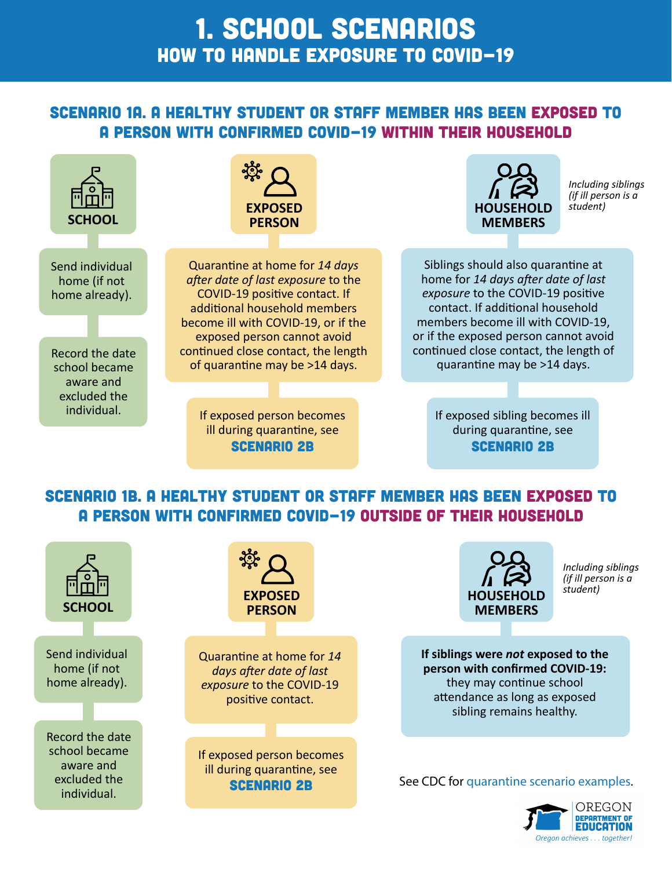### 1. SCHOOL SCENARIOS HOW TO HANDLE exposure to COVID-19

### Scenario 1a. A healthy student or staff member has been exposed to a person with confirmed COVID-19 within their household



### Scenario 1B. A healthy student or staff member has been exposed to a person with confirmed COVID-19 outside of their household



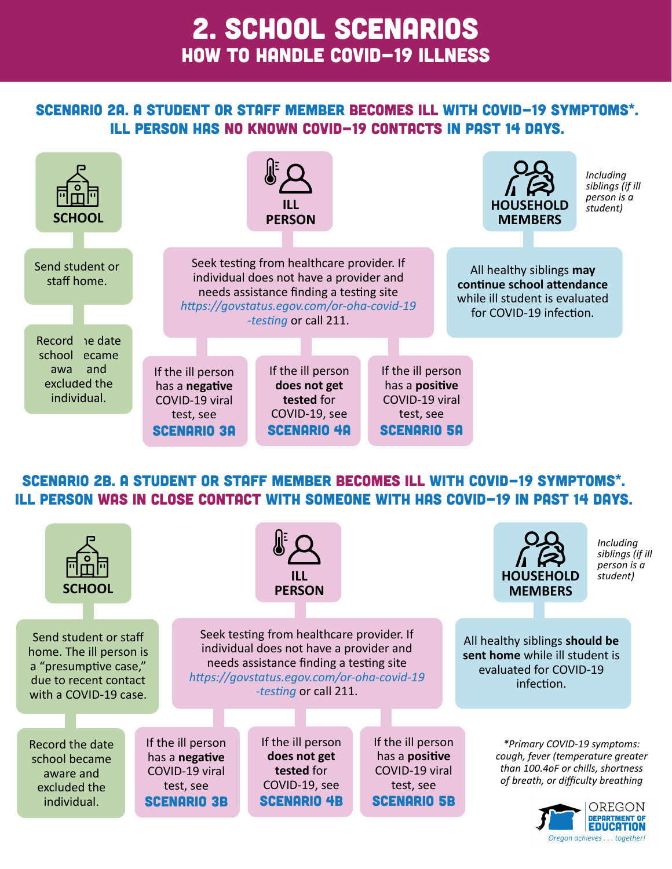# 2. SCHOOL SCENARIOS HOW TO HANDLE COVID-19 illness

#### Scenario 2A. A student or staff member becomes ill with COVID-19 symptoms\*. Ill person has no known COVID-19 contacts in past 14 days.



#### Scenario 2B. A student or staff member becomes ill with COVID-19 symptoms\*. Ill person was in close contact with someone with has COVID-19 in past 14 days.

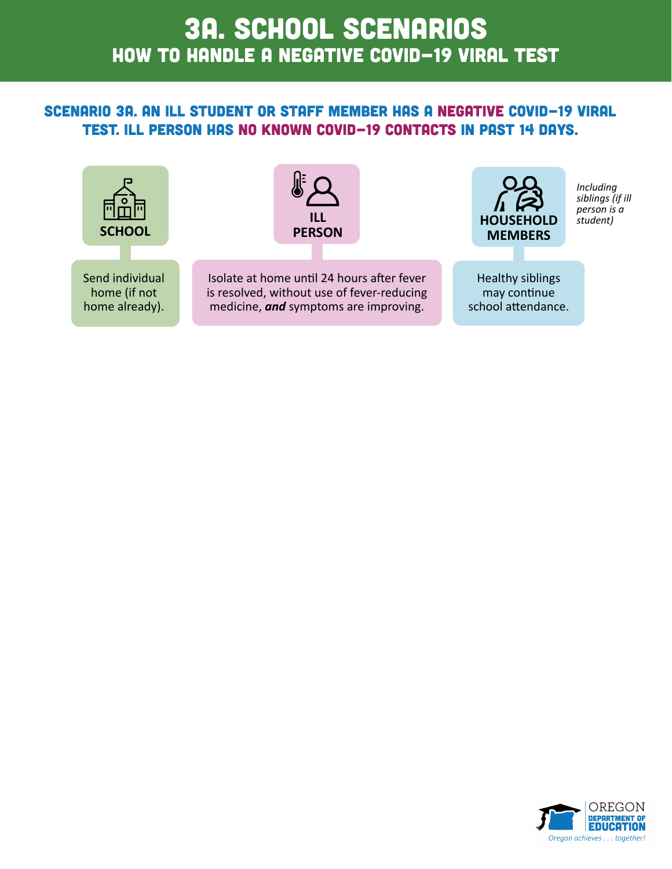# HOW TO HANDLE a negative COVID-19 viral test 3A. SCHOOL SCENARIOS

#### Scenario 3a. An ill student or staff member has a negative COVID-19 viral test. Ill person has no known COVID-19 contacts in past 14 days.



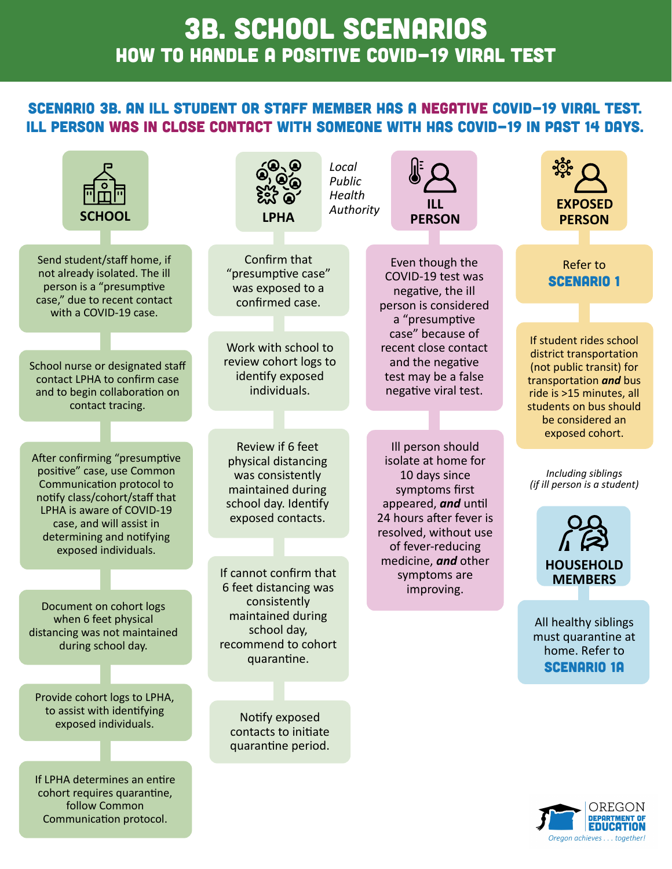# 3B. SCHOOL SCENARIOS HOW TO HANDLE a positive COVID-19 viral test

#### Scenario 3B. An ill student or staff member has a negative COVID-19 viral test. Ill person was in close contact with someone with has COVID-19 in past 14 days.

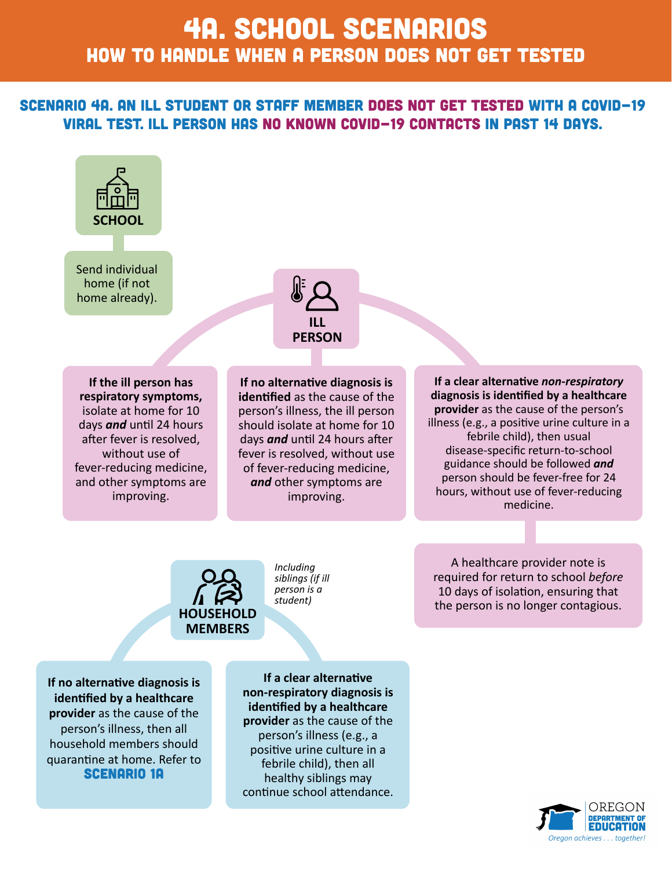# 4A. SCHOOL SCENARIOS HOW TO HANDLE when a person does not get tested

#### Scenario 4A. An ill student or staff member does not get tested with a COVID-19 viral test. Ill person has no known COVID-19 contacts in past 14 days.





**If the ill person has respiratory symptoms,**  isolate at home for 10 days *and* until 24 hours after fever is resolved, without use of fever-reducing medicine, and other symptoms are improving.

**If no alternative diagnosis is identified** as the cause of the person's illness, the ill person should isolate at home for 10 days *and* until 24 hours after fever is resolved, without use of fever-reducing medicine, *and* other symptoms are improving.

**If a clear alternative** *non-respiratory*  **diagnosis is identified by a healthcare provider** as the cause of the person's illness (e.g., a positive urine culture in a febrile child), then usual disease-specific return-to-school guidance should be followed *and*  person should be fever-free for 24 hours, without use of fever-reducing medicine.



*Including siblings (if ill person is a student)*

A healthcare provider note is required for return to school *before*  10 days of isolation, ensuring that the person is no longer contagious.

**If no alternative diagnosis is identified by a healthcare provider** as the cause of the person's illness, then all household members should quarantine at home. Refer to Scenario 1a

**If a clear alternative non-respiratory diagnosis is identified by a healthcare provider** as the cause of the person's illness (e.g., a positive urine culture in a febrile child), then all healthy siblings may continue school attendance.

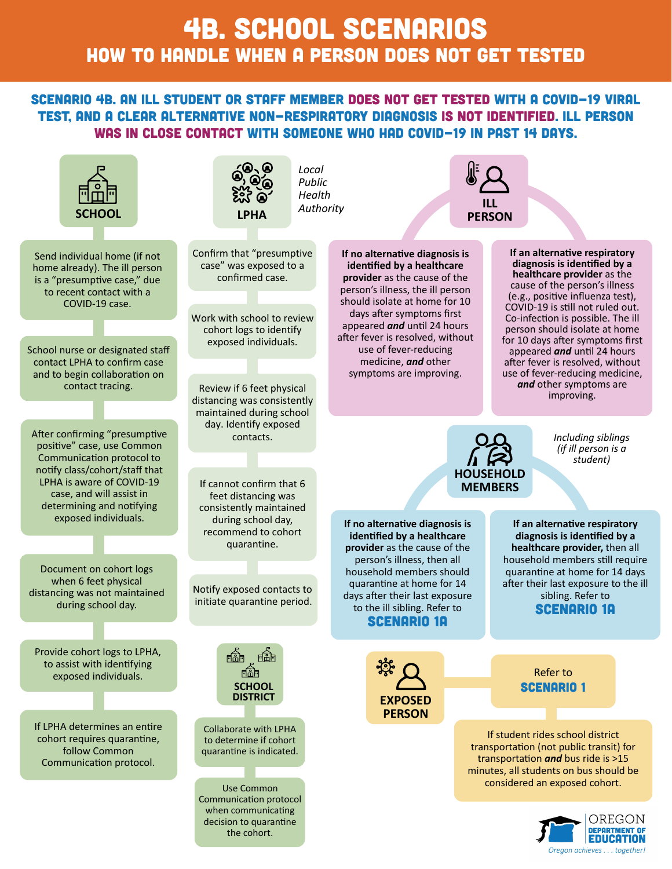# 4B. SCHOOL SCENARIOS HOW TO HANDLE when a person does not get tested

#### Scenario 4B. An ill student or staff member does not get tested with a COVID-19 viral test, and a clear alternative non-respiratory diagnosis is not identified. Ill person was in close contact with someone who had COVID-19 in past 14 days.

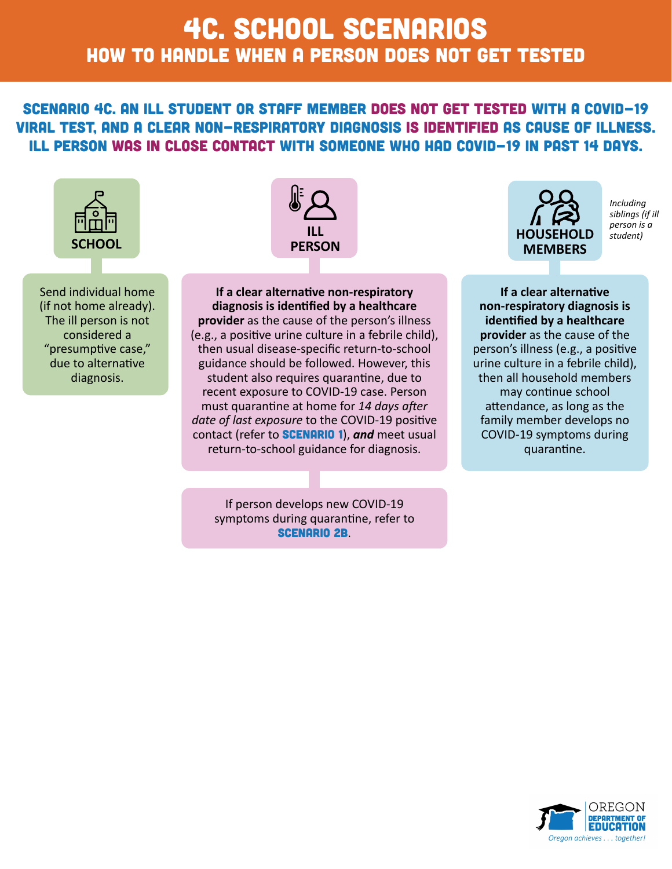# 4c. SCHOOL SCENARIOS HOW TO HANDLE when a person does not get tested

scenario 4c. An ill student or staff member does not get tested with a COVID-19 viral test, and a clear non-respiratory diagnosis is identified as cause of illness. Ill person was in close contact with someone who had COVID-19 in past 14 days.



Send individual home (if not home already). The ill person is not considered a "presumptive case," due to alternative diagnosis.



**If a clear alternative non-respiratory diagnosis is identified by a healthcare provider** as the cause of the person's illness (e.g., a positive urine culture in a febrile child), then usual disease-specific return-to-school guidance should be followed. However, this student also requires quarantine, due to recent exposure to COVID-19 case. Person must quarantine at home for *14 days after date of last exposure* to the COVID-19 positive contact (refer to **SCENARIO 1)**, and meet usual return-to-school guidance for diagnosis.

If person develops new COVID-19 symptoms during quarantine, refer to Scenario 2b.



*Including siblings (if ill person is a* 

**If a clear alternative non-respiratory diagnosis is identified by a healthcare provider** as the cause of the person's illness (e.g., a positive urine culture in a febrile child), then all household members may continue school attendance, as long as the family member develops no COVID-19 symptoms during quarantine.

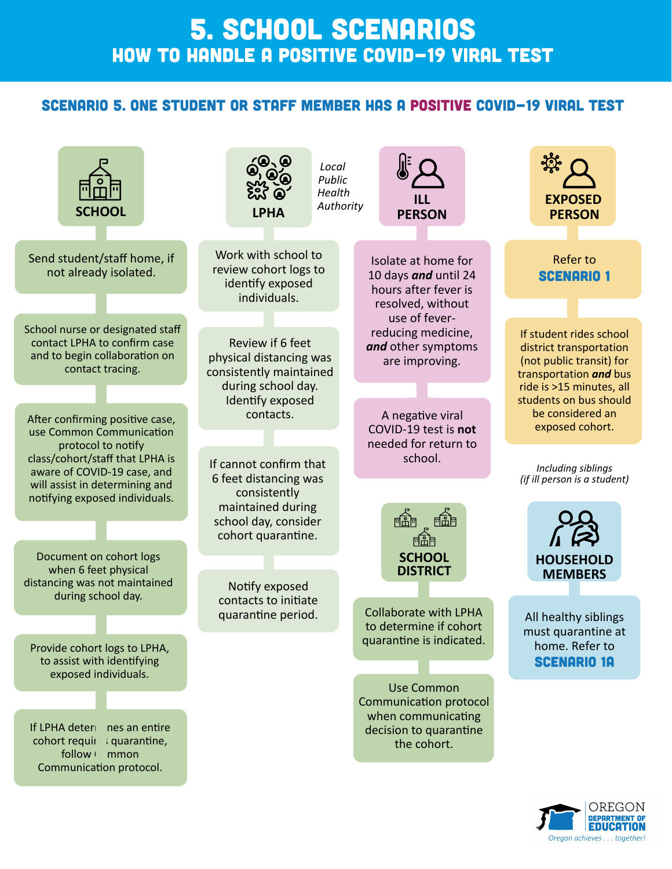### 5. SCHOOL SCENARIOS HOW TO HANDLE a positive COVID-19 viral test

#### Scenario 5. One student or staff member has a positive COVID-19 viral test



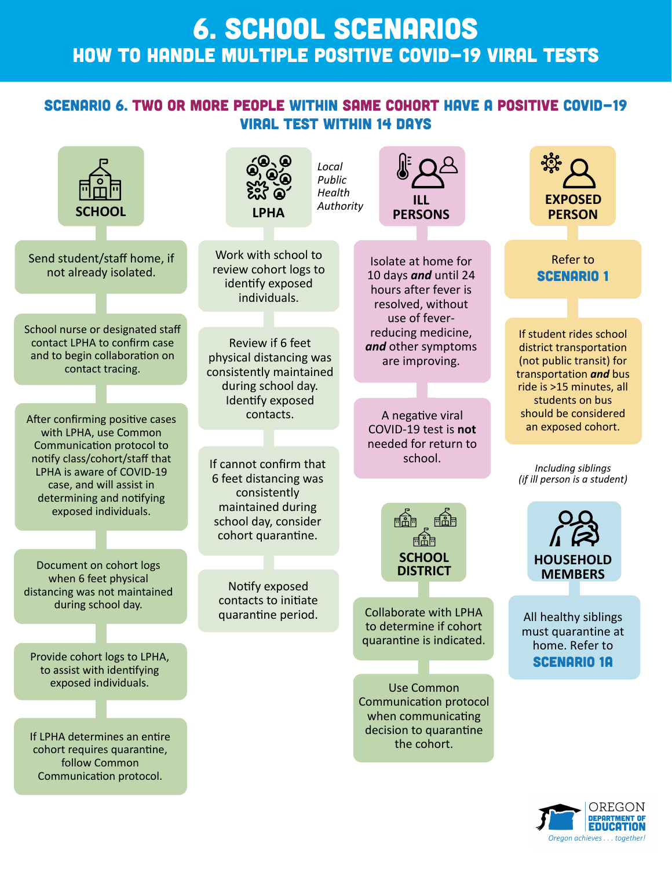### 6. SCHOOL SCENARIOS HOW TO HANDLE MULTIPLE positive COVID-19 viral testS

#### Scenario 6. Two or more people within same cohort have a positive COVID-19 viral test within 14 days